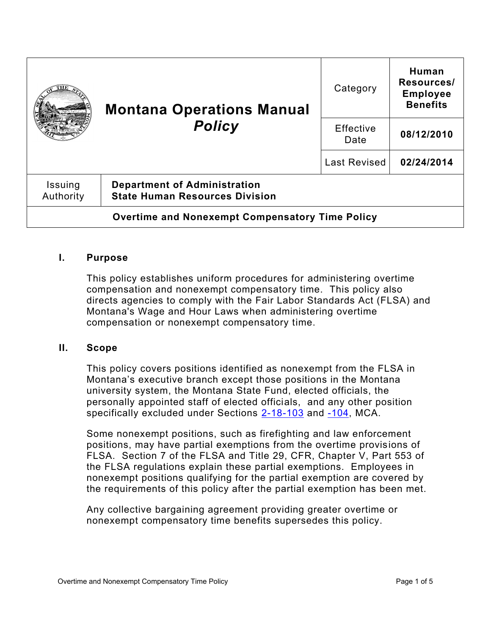|                                                        | <b>Montana Operations Manual</b><br><b>Policy</b>                            | Category          | Human<br>Resources/<br><b>Employee</b><br><b>Benefits</b> |
|--------------------------------------------------------|------------------------------------------------------------------------------|-------------------|-----------------------------------------------------------|
|                                                        |                                                                              | Effective<br>Date | 08/12/2010                                                |
|                                                        |                                                                              | Last Revised      | 02/24/2014                                                |
| Issuing<br>Authority                                   | <b>Department of Administration</b><br><b>State Human Resources Division</b> |                   |                                                           |
| <b>Overtime and Nonexempt Compensatory Time Policy</b> |                                                                              |                   |                                                           |

#### **I. Purpose**

This policy establishes uniform procedures for administering overtime compensation and nonexempt compensatory time. This policy also directs agencies to comply with the Fair Labor Standards Act (FLSA) and Montana's Wage and Hour Laws when administering overtime compensation or nonexempt compensatory time.

#### **II. Scope**

This policy covers positions identified as nonexempt from the FLSA in Montana's executive branch except those positions in the Montana university system, the Montana State Fund, elected officials, the personally appointed staff of elected officials, and any other position specifically excluded under Sections [2-18-103](https://leg.mt.gov/bills/mca/title_0020/chapter_0180/part_0010/section_0030/0020-0180-0010-0030.html) and [-104,](https://leg.mt.gov/bills/mca/title_0020/chapter_0180/part_0010/section_0040/0020-0180-0010-0040.html) MCA.

Some nonexempt positions, such as firefighting and law enforcement positions, may have partial exemptions from the overtime provisions of FLSA. Section 7 of the FLSA and Title 29, CFR, Chapter V, Part 553 of the FLSA regulations explain these partial exemptions. Employees in nonexempt positions qualifying for the partial exemption are covered by the requirements of this policy after the partial exemption has been met.

Any collective bargaining agreement providing greater overtime or nonexempt compensatory time benefits supersedes this policy.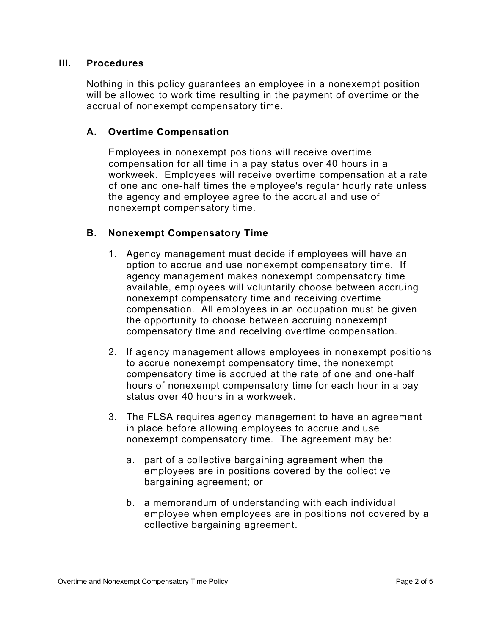#### **III. Procedures**

Nothing in this policy guarantees an employee in a nonexempt position will be allowed to work time resulting in the payment of overtime or the accrual of nonexempt compensatory time.

## **A. Overtime Compensation**

Employees in nonexempt positions will receive overtime compensation for all time in a pay status over 40 hours in a workweek. Employees will receive overtime compensation at a rate of one and one-half times the employee's regular hourly rate unless the agency and employee agree to the accrual and use of nonexempt compensatory time.

## **B. Nonexempt Compensatory Time**

- 1. Agency management must decide if employees will have an option to accrue and use nonexempt compensatory time. If agency management makes nonexempt compensatory time available, employees will voluntarily choose between accruing nonexempt compensatory time and receiving overtime compensation. All employees in an occupation must be given the opportunity to choose between accruing nonexempt compensatory time and receiving overtime compensation.
- 2. If agency management allows employees in nonexempt positions to accrue nonexempt compensatory time, the nonexempt compensatory time is accrued at the rate of one and one-half hours of nonexempt compensatory time for each hour in a pay status over 40 hours in a workweek.
- 3. The FLSA requires agency management to have an agreement in place before allowing employees to accrue and use nonexempt compensatory time. The agreement may be:
	- a. part of a collective bargaining agreement when the employees are in positions covered by the collective bargaining agreement; or
	- b. a memorandum of understanding with each individual employee when employees are in positions not covered by a collective bargaining agreement.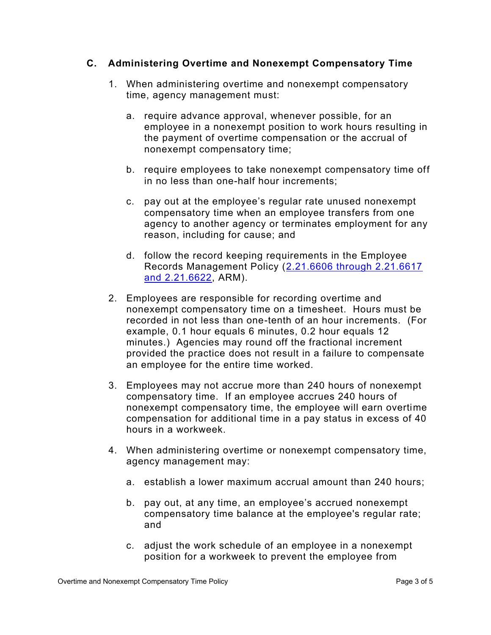## **C. Administering Overtime and Nonexempt Compensatory Time**

- 1. When administering overtime and nonexempt compensatory time, agency management must:
	- a. require advance approval, whenever possible, for an employee in a nonexempt position to work hours resulting in the payment of overtime compensation or the accrual of nonexempt compensatory time;
	- b. require employees to take nonexempt compensatory time off in no less than one-half hour increments;
	- c. pay out at the employee's regular rate unused nonexempt compensatory time when an employee transfers from one agency to another agency or terminates employment for any reason, including for cause; and
	- d. follow the record keeping requirements in the Employee Records Management Policy [\(2.21.6606 through 2.21.6617](http://www.mtrules.org/gateway/Subchapterhome.asp?scn=2%2E21.66)  [and 2.21.6622,](http://www.mtrules.org/gateway/Subchapterhome.asp?scn=2%2E21.66) ARM).
- 2. Employees are responsible for recording overtime and nonexempt compensatory time on a timesheet. Hours must be recorded in not less than one-tenth of an hour increments. (For example, 0.1 hour equals 6 minutes, 0.2 hour equals 12 minutes.) Agencies may round off the fractional increment provided the practice does not result in a failure to compensate an employee for the entire time worked.
- 3. Employees may not accrue more than 240 hours of nonexempt compensatory time. If an employee accrues 240 hours of nonexempt compensatory time, the employee will earn overtime compensation for additional time in a pay status in excess of 40 hours in a workweek.
- 4. When administering overtime or nonexempt compensatory time, agency management may:
	- a. establish a lower maximum accrual amount than 240 hours;
	- b. pay out, at any time, an employee's accrued nonexempt compensatory time balance at the employee's regular rate; and
	- c. adjust the work schedule of an employee in a nonexempt position for a workweek to prevent the employee from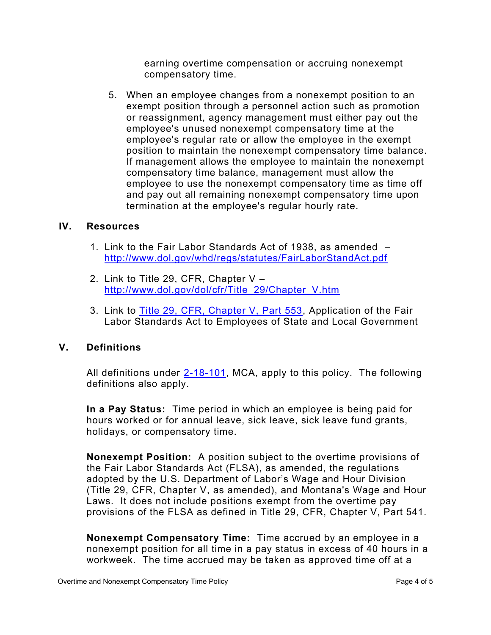earning overtime compensation or accruing nonexempt compensatory time.

5. When an employee changes from a nonexempt position to an exempt position through a personnel action such as promotion or reassignment, agency management must either pay out the employee's unused nonexempt compensatory time at the employee's regular rate or allow the employee in the exempt position to maintain the nonexempt compensatory time balance. If management allows the employee to maintain the nonexempt compensatory time balance, management must allow the employee to use the nonexempt compensatory time as time off and pay out all remaining nonexempt compensatory time upon termination at the employee's regular hourly rate.

#### **IV. Resources**

- 1. Link to the Fair Labor Standards Act of 1938, as amended <http://www.dol.gov/whd/regs/statutes/FairLaborStandAct.pdf>
- 2. Link to Title 29, CFR, Chapter V [http://www.dol.gov/dol/cfr/Title\\_29/Chapter\\_V.htm](http://www.dol.gov/dol/cfr/Title_29/Chapter_V.htm)
- 3. Link to [Title 29, CFR, Chapter V, Part 553,](http://www.ecfr.gov/cgi-bin/text-idx?c=ecfr&sid=48d6ee3b99d3b3a97b1bf189e1757786&rgn=div5&view=text&node=29:3.1.1.1.30&idno=29) Application of the Fair Labor Standards Act to Employees of State and Local Government

# **V. Definitions**

All definitions under [2-18-101,](https://leg.mt.gov/bills/mca/title_0020/chapter_0180/part_0010/section_0010/0020-0180-0010-0010.html) MCA, apply to this policy. The following definitions also apply.

**In a Pay Status:** Time period in which an employee is being paid for hours worked or for annual leave, sick leave, sick leave fund grants, holidays, or compensatory time.

**Nonexempt Position:** A position subject to the overtime provisions of the Fair Labor Standards Act (FLSA), as amended, the regulations adopted by the U.S. Department of Labor's Wage and Hour Division (Title 29, CFR, Chapter V, as amended), and Montana's Wage and Hour Laws. It does not include positions exempt from the overtime pay provisions of the FLSA as defined in Title 29, CFR, Chapter V, Part 541.

**Nonexempt Compensatory Time:** Time accrued by an employee in a nonexempt position for all time in a pay status in excess of 40 hours in a workweek. The time accrued may be taken as approved time off at a